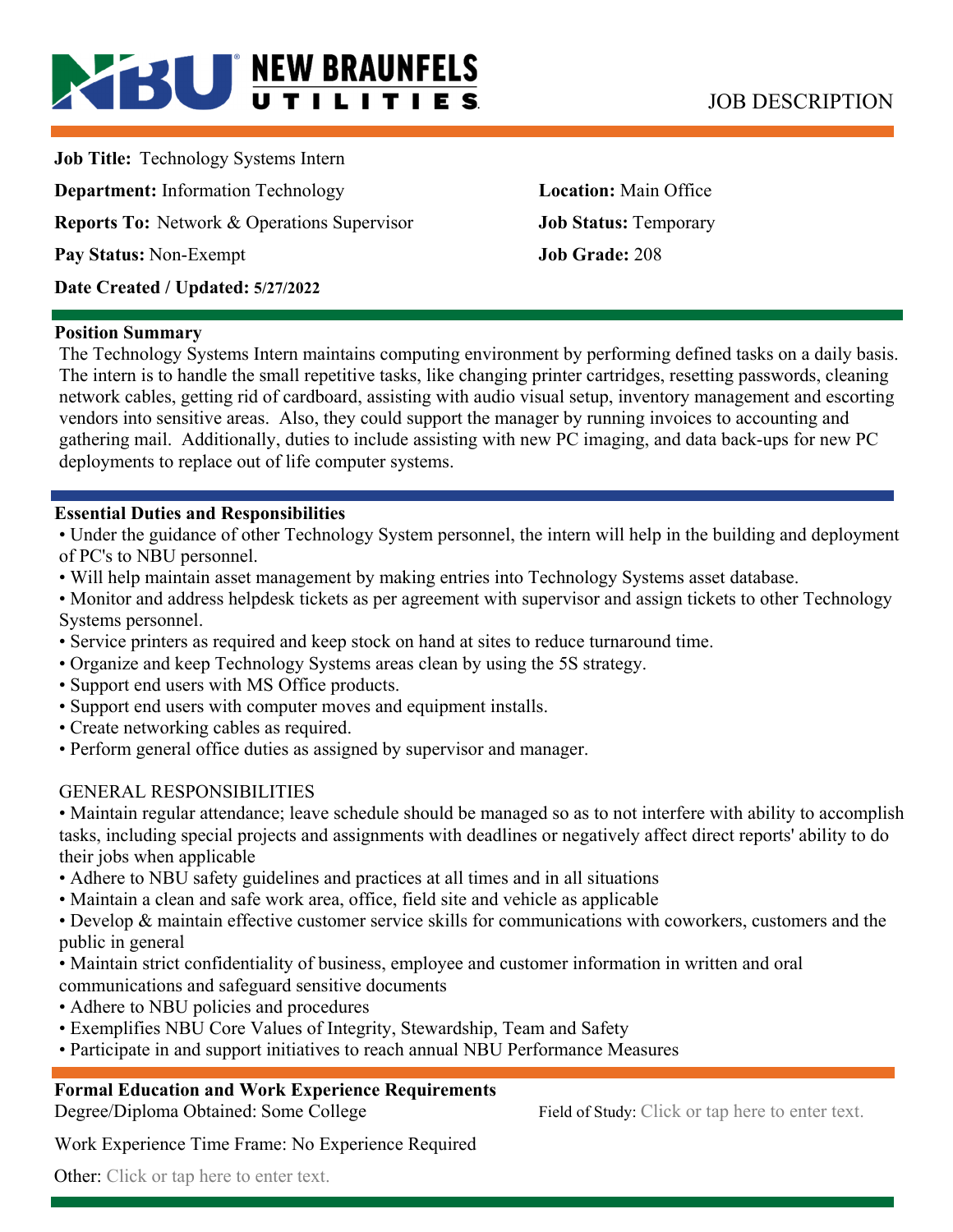# **BU NEW BRAUNFELS** JOB DESCRIPTION

**Job Title:** Technology Systems Intern **Department:** Information Technology **Location:** Main Office **Reports To:** Network & Operations Supervisor **Job Status:** Temporary **Pay Status:** Non-Exempt **Job Grade:** 208 **Date Created / Updated: 5/27/2022** 

### **Position Summary**

The Technology Systems Intern maintains computing environment by performing defined tasks on a daily basis. The intern is to handle the small repetitive tasks, like changing printer cartridges, resetting passwords, cleaning network cables, getting rid of cardboard, assisting with audio visual setup, inventory management and escorting vendors into sensitive areas. Also, they could support the manager by running invoices to accounting and gathering mail. Additionally, duties to include assisting with new PC imaging, and data back-ups for new PC deployments to replace out of life computer systems.

# **Essential Duties and Responsibilities**

• Under the guidance of other Technology System personnel, the intern will help in the building and deployment of PC's to NBU personnel.

- Will help maintain asset management by making entries into Technology Systems asset database.
- Monitor and address helpdesk tickets as per agreement with supervisor and assign tickets to other Technology Systems personnel.
- Service printers as required and keep stock on hand at sites to reduce turnaround time.
- Organize and keep Technology Systems areas clean by using the 5S strategy.
- Support end users with MS Office products.
- Support end users with computer moves and equipment installs.
- Create networking cables as required.
- Perform general office duties as assigned by supervisor and manager.

# GENERAL RESPONSIBILITIES

• Maintain regular attendance; leave schedule should be managed so as to not interfere with ability to accomplish tasks, including special projects and assignments with deadlines or negatively affect direct reports' ability to do their jobs when applicable

- Adhere to NBU safety guidelines and practices at all times and in all situations
- Maintain a clean and safe work area, office, field site and vehicle as applicable

• Develop & maintain effective customer service skills for communications with coworkers, customers and the public in general

- Maintain strict confidentiality of business, employee and customer information in written and oral communications and safeguard sensitive documents
- Adhere to NBU policies and procedures
- Exemplifies NBU Core Values of Integrity, Stewardship, Team and Safety
- Participate in and support initiatives to reach annual NBU Performance Measures

# **Formal Education and Work Experience Requirements**

Degree/Diploma Obtained: Some College Field of Study: Click or tap here to enter text.

Work Experience Time Frame: No Experience Required

Other: Click or tap here to enter text.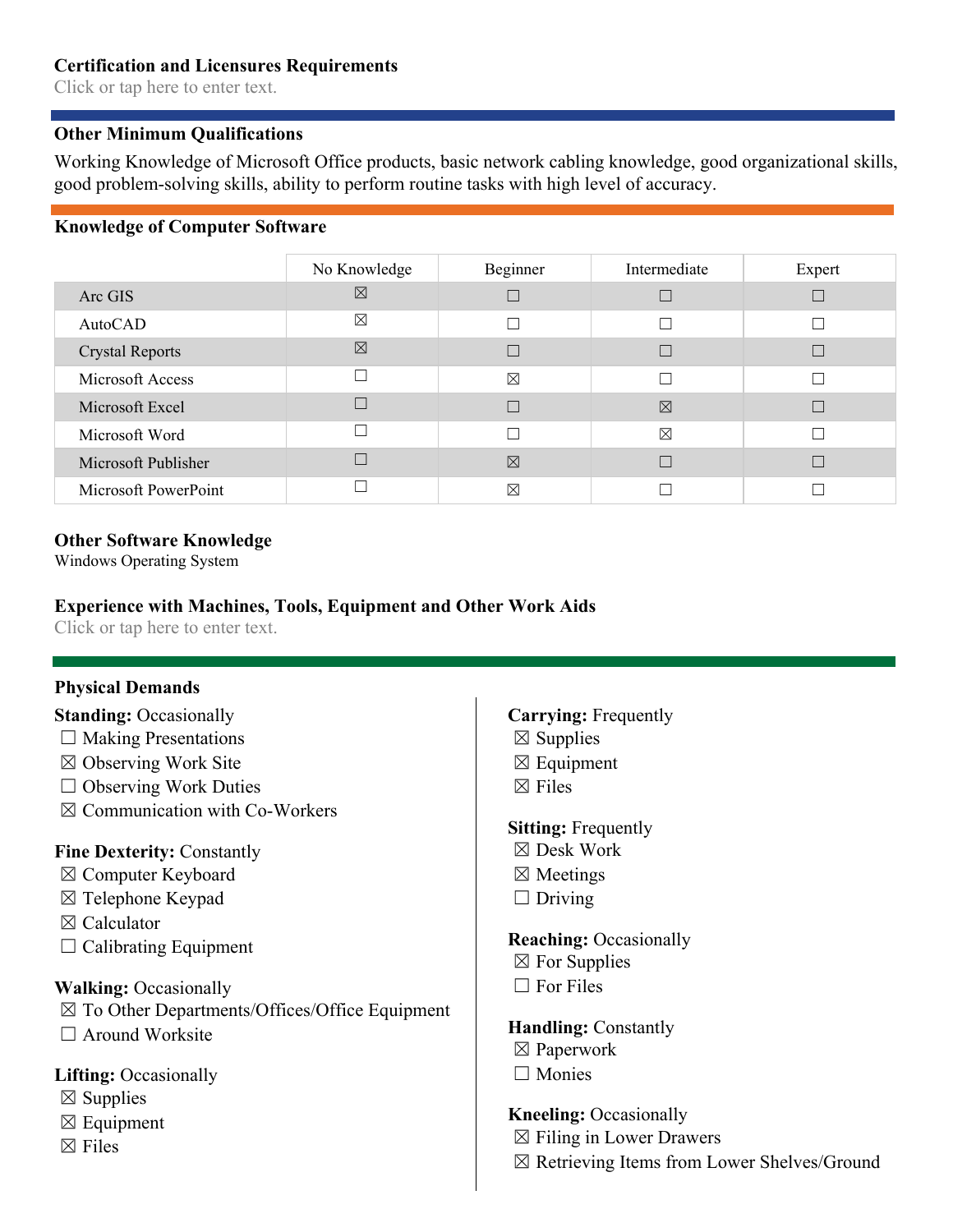## **Certification and Licensures Requirements**

Click or tap here to enter text.

# **Other Minimum Qualifications**

Working Knowledge of Microsoft Office products, basic network cabling knowledge, good organizational skills, good problem-solving skills, ability to perform routine tasks with high level of accuracy.

# **Knowledge of Computer Software**

|                        | No Knowledge | Beginner    | Intermediate | Expert |
|------------------------|--------------|-------------|--------------|--------|
| Arc GIS                | ⊠            |             |              |        |
| AutoCAD                | ⊠            |             | П            |        |
| <b>Crystal Reports</b> | $\boxtimes$  |             |              |        |
| Microsoft Access       |              | $\boxtimes$ |              |        |
| Microsoft Excel        |              |             | 区            |        |
| Microsoft Word         |              |             | $\boxtimes$  |        |
| Microsoft Publisher    |              | 冈           |              |        |
| Microsoft PowerPoint   |              | $\boxtimes$ |              |        |

### **Other Software Knowledge**

Windows Operating System

# **Experience with Machines, Tools, Equipment and Other Work Aids**

Click or tap here to enter text.

# **Physical Demands**

# **Standing: Occasionally**

- $\Box$  Making Presentations
- ☒ Observing Work Site
- $\Box$  Observing Work Duties
- ☒ Communication with Co-Workers

# **Fine Dexterity:** Constantly

- ☒ Computer Keyboard
- ☒ Telephone Keypad
- ☒ Calculator
- $\Box$  Calibrating Equipment

# **Walking:** Occasionally

☒ To Other Departments/Offices/Office Equipment  $\Box$  Around Worksite

# **Lifting:** Occasionally

- $\boxtimes$  Supplies
- $\boxtimes$  Equipment
- $\boxtimes$  Files

# **Carrying:** Frequently

- $\boxtimes$  Supplies
- $\boxtimes$  Equipment
- $\boxtimes$  Files

# **Sitting:** Frequently

- ☒ Desk Work
- ☒ Meetings
- $\Box$  Driving

#### **Reaching:** Occasionally

- $\boxtimes$  For Supplies
- $\Box$  For Files

#### **Handling:** Constantly

- ☒ Paperwork
- ☐ Monies

# **Kneeling:** Occasionally

- $\boxtimes$  Filing in Lower Drawers
- ☒ Retrieving Items from Lower Shelves/Ground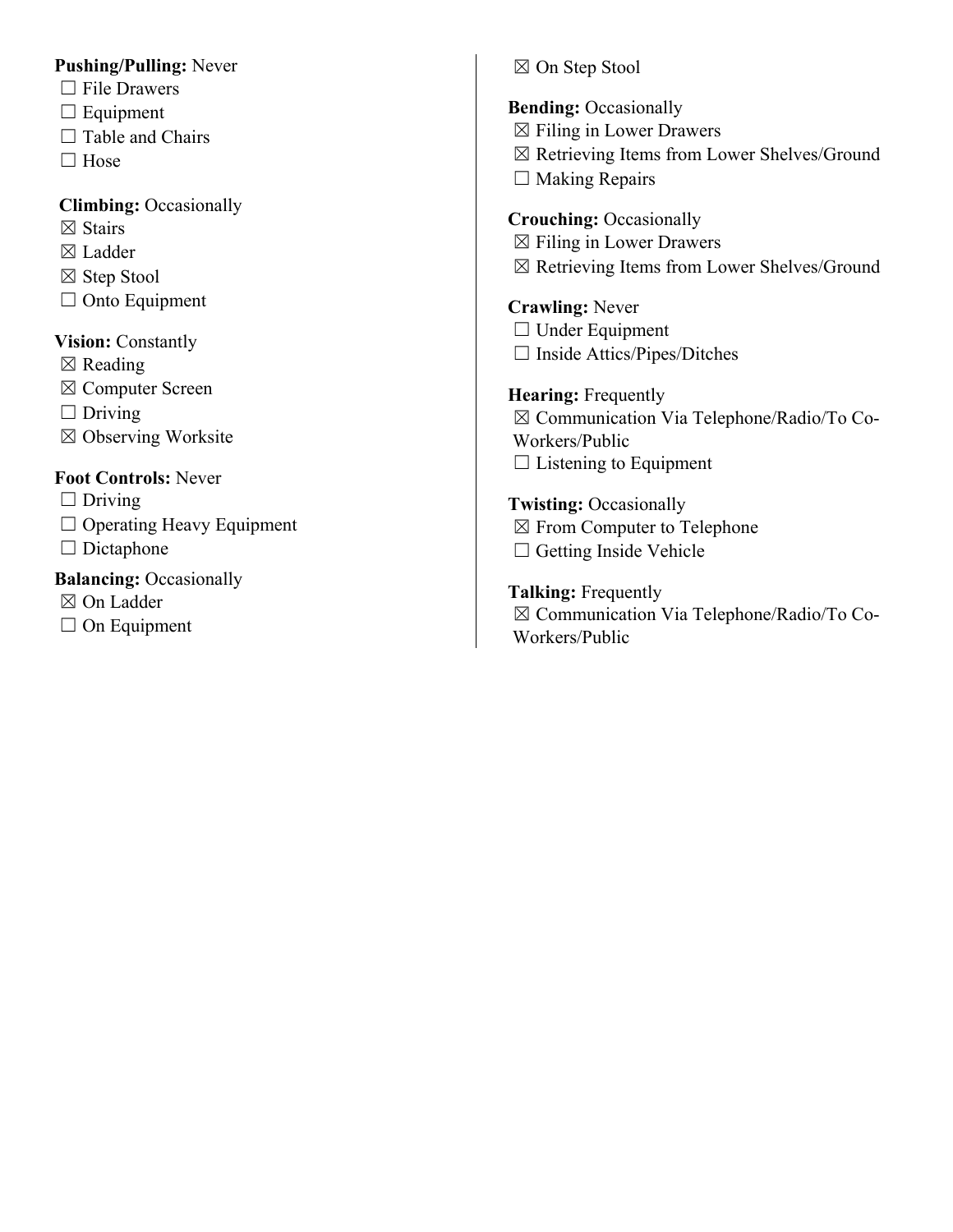# **Pushing/Pulling:** Never

- $\Box$  File Drawers
- $\Box$  Equipment
- $\Box$  Table and Chairs
- □ Hose

# **Climbing:** Occasionally

- ☒ Stairs
- ☒ Ladder
- ☒ Step Stool
- $\Box$  Onto Equipment

# **Vision:** Constantly

- $\boxtimes$  Reading
- ☒ Computer Screen
- $\Box$  Driving
- ☒ Observing Worksite

# **Foot Controls:** Never

- $\Box$  Driving
- □ Operating Heavy Equipment
- □ Dictaphone

# **Balancing: Occasionally**

- ☒ On Ladder
- $\Box$  On Equipment

# ☒ On Step Stool

**Bending: Occasionally**  $\boxtimes$  Filing in Lower Drawers ☒ Retrieving Items from Lower Shelves/Ground

 $\Box$  Making Repairs

**Crouching:** Occasionally  $\boxtimes$  Filing in Lower Drawers

☒ Retrieving Items from Lower Shelves/Ground

**Crawling:** Never □ Under Equipment

☐ Inside Attics/Pipes/Ditches

**Hearing:** Frequently ☒ Communication Via Telephone/Radio/To Co-Workers/Public  $\Box$  Listening to Equipment

**Twisting:** Occasionally ☒ From Computer to Telephone

□ Getting Inside Vehicle

**Talking:** Frequently ☒ Communication Via Telephone/Radio/To Co-Workers/Public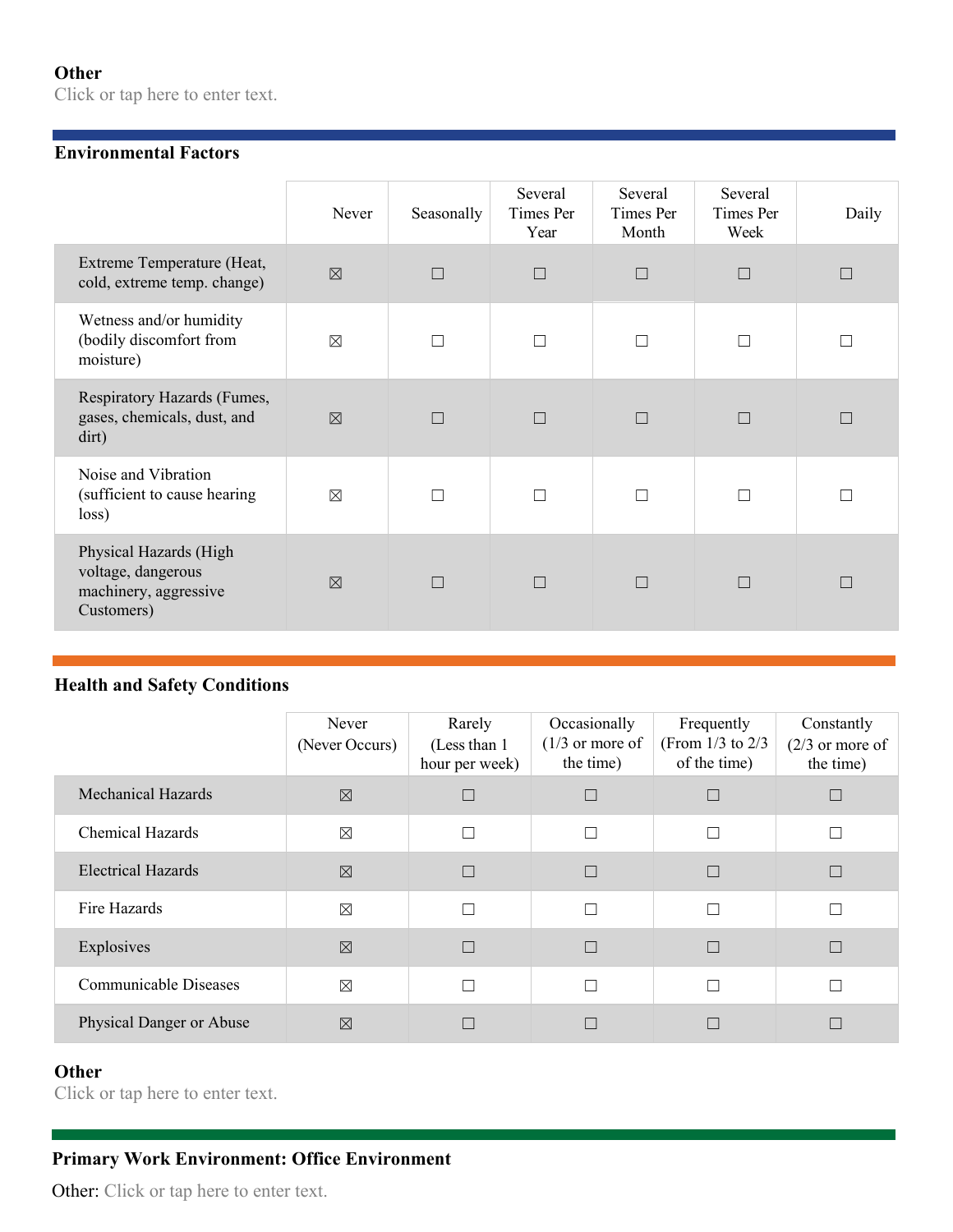# **Other**

Click or tap here to enter text.

## **Environmental Factors**

|                                                                                     | Never       | Seasonally | Several<br>Times Per<br>Year | Several<br>Times Per<br>Month | Several<br>Times Per<br>Week | Daily |
|-------------------------------------------------------------------------------------|-------------|------------|------------------------------|-------------------------------|------------------------------|-------|
| Extreme Temperature (Heat,<br>cold, extreme temp. change)                           | $\boxtimes$ | П          | $\Box$                       | $\Box$                        | $\Box$                       |       |
| Wetness and/or humidity<br>(bodily discomfort from<br>moisture)                     | $\boxtimes$ |            | П                            |                               | П                            |       |
| Respiratory Hazards (Fumes,<br>gases, chemicals, dust, and<br>dirt)                 | $\boxtimes$ |            | $\Box$                       |                               | $\Box$                       |       |
| Noise and Vibration<br>(sufficient to cause hearing<br>loss)                        | $\boxtimes$ |            | $\Box$                       |                               | П                            |       |
| Physical Hazards (High<br>voltage, dangerous<br>machinery, aggressive<br>Customers) | $\nabla$    | П          | $\Box$                       | П                             | $\Box$                       | П     |

# **Health and Safety Conditions**

|                           | Never<br>(Never Occurs) | Rarely<br>(Less than 1)<br>hour per week) | Occasionally<br>$(1/3)$ or more of<br>the time) | Frequently<br>(From $1/3$ to $2/3$<br>of the time) | Constantly<br>$(2/3)$ or more of<br>the time) |
|---------------------------|-------------------------|-------------------------------------------|-------------------------------------------------|----------------------------------------------------|-----------------------------------------------|
| <b>Mechanical Hazards</b> | $\boxtimes$             | $\Box$                                    |                                                 |                                                    |                                               |
| <b>Chemical Hazards</b>   | $\boxtimes$             | $\Box$                                    | П                                               | П                                                  |                                               |
| <b>Electrical Hazards</b> | $\boxtimes$             | $\Box$                                    | П                                               |                                                    |                                               |
| Fire Hazards              | $\boxtimes$             | $\Box$                                    | П                                               | П                                                  |                                               |
| Explosives                | $\boxtimes$             | $\Box$                                    | П                                               |                                                    |                                               |
| Communicable Diseases     | $\boxtimes$             | П                                         | П                                               | П                                                  |                                               |
| Physical Danger or Abuse  | $\boxtimes$             | П                                         |                                                 |                                                    |                                               |

# **Other**

Click or tap here to enter text.

# **Primary Work Environment: Office Environment**

Other: Click or tap here to enter text.